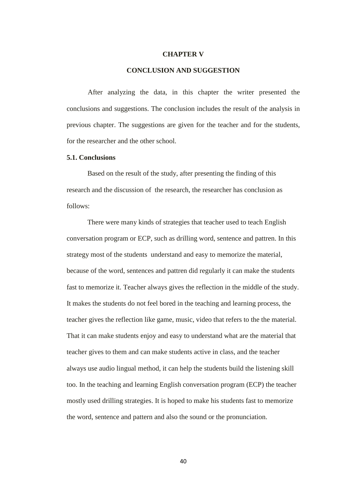## **CHAPTER V**

## **CONCLUSION AND SUGGESTION**

After analyzing the data, in this chapter the writer presented the conclusions and suggestions. The conclusion includes the result of the analysis in previous chapter. The suggestions are given for the teacher and for the students, for the researcher and the other school.

## **5.1. Conclusions**

Based on the result of the study, after presenting the finding of this research and the discussion of the research, the researcher has conclusion as follows:

There were many kinds of strategies that teacher used to teach English conversation program or ECP, such as drilling word, sentence and pattren. In this strategy most of the students understand and easy to memorize the material, because of the word, sentences and pattren did regularly it can make the students fast to memorize it. Teacher always gives the reflection in the middle of the study. It makes the students do not feel bored in the teaching and learning process, the teacher gives the reflection like game, music, video that refers to the the material. That it can make students enjoy and easy to understand what are the material that teacher gives to them and can make students active in class, and the teacher always use audio lingual method, it can help the students build the listening skill too. In the teaching and learning English conversation program (ECP) the teacher mostly used drilling strategies. It is hoped to make his students fast to memorize the word, sentence and pattern and also the sound or the pronunciation.

40